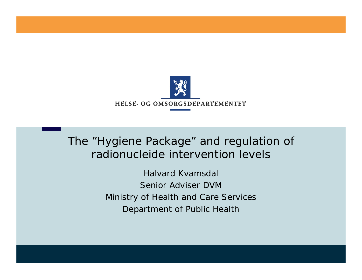

The "Hygiene Package" and regulation of radionucleide intervention levels

> *Halvard KvamsdalSenior Adviser DVMMinistry of Health and Care Services Depa rtment of Public Health*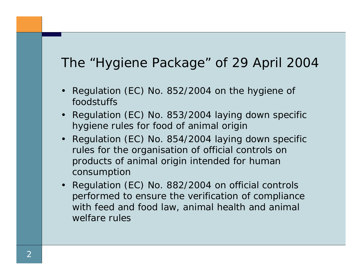## The "Hygiene Package" of 29 April 2004

- Regulation (EC) No. 852/2004 on the hygiene of foodstuffs
- Regulation (EC) No. 853/2004 laying down specific hygiene rules for food of animal origin
- Regulation (EC) No. 854/2004 laying down specific rules for the organisation of official controls on products of animal origin intended for human consumption
- Regulation (EC) No. 882/2004 on official controls performed to ensure the verification of compliance with feed and food law, animal health and animal welfare rules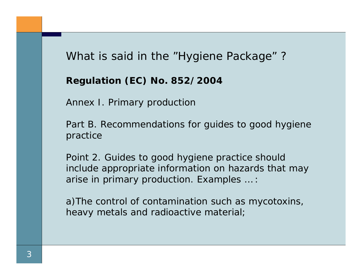### What is said in the "Hygiene Package" ?

**Regulation (EC) No. 852/2004**

Annex I. Primary production

Part B. Recommendations for guides to good hygiene practice

Point 2. Guides to good hygiene practice should include appropriate information on hazards that may arise in primary production. Examples … :

a)The control of contamination such as mycotoxins, heavy metals and radioactive material;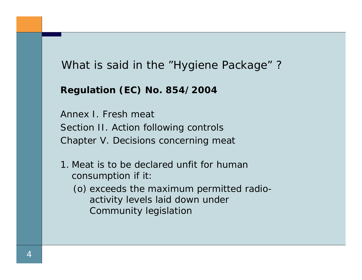What is said in the "Hygiene Package" ?

#### **Regulation (EC) No. 854/2004**

Annex I. Fresh meat Section II. Action following controls Chapter V. Decisions concerning meat

- 1. Meat is to be declared unfit for human consumption if it:
	- (o) exceeds the maximum permitted radioactivity levels laid down under Community legislation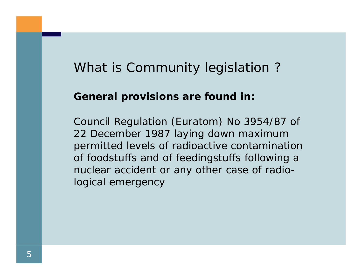# What is Community legislation ?

#### **General provisions are found in:**

Council Regulation (Euratom) No 3954/87 of 22 December 1987 laying down maximum permitted levels of radioactive contamination of foodstuffs and of feedingstuffs following a nuclear accident or any other case of radiological emergency